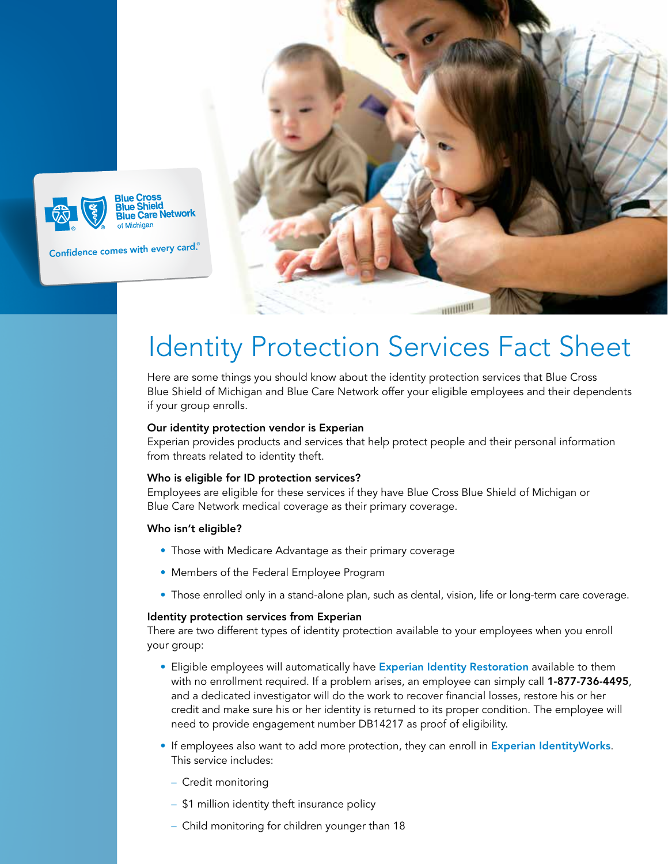

# Identity Protection Services Fact Sheet

Here are some things you should know about the identity protection services that Blue Cross Blue Shield of Michigan and Blue Care Network offer your eligible employees and their dependents if your group enrolls.

### Our identity protection vendor is Experian

Experian provides products and services that help protect people and their personal information from threats related to identity theft.

#### Who is eligible for ID protection services?

Employees are eligible for these services if they have Blue Cross Blue Shield of Michigan or Blue Care Network medical coverage as their primary coverage.

#### Who isn't eligible?

- Those with Medicare Advantage as their primary coverage
- Members of the Federal Employee Program
- Those enrolled only in a stand-alone plan, such as dental, vision, life or long-term care coverage.

#### Identity protection services from Experian

There are two different types of identity protection available to your employees when you enroll your group:

- Eligible employees will automatically have **Experian Identity Restoration** available to them with no enrollment required. If a problem arises, an employee can simply call 1-877-736-4495, and a dedicated investigator will do the work to recover financial losses, restore his or her credit and make sure his or her identity is returned to its proper condition. The employee will need to provide engagement number DB14217 as proof of eligibility.
- If employees also want to add more protection, they can enroll in Experian IdentityWorks. This service includes:
	- Credit monitoring
	- \$1 million identity theft insurance policy
	- Child monitoring for children younger than 18